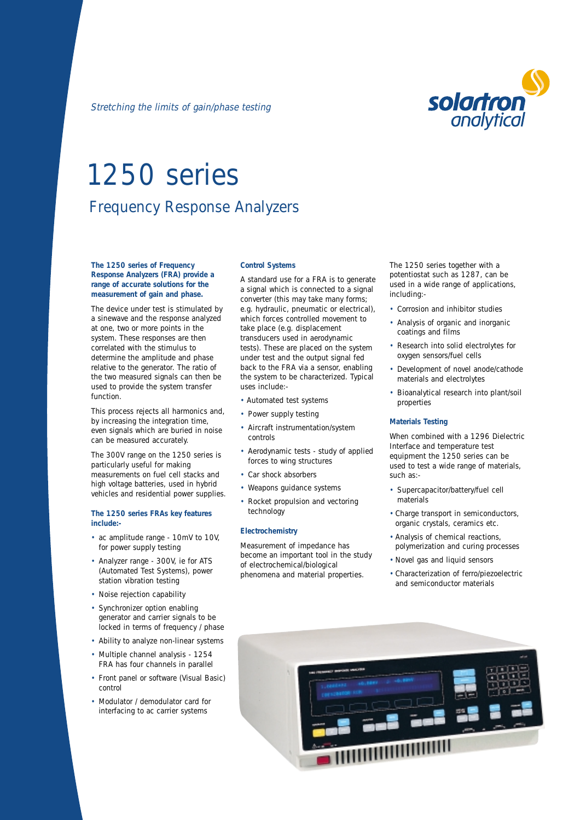# 1250 series Frequency Response Analyzers

## **The 1250 series of Frequency Response Analyzers (FRA) provide a range of accurate solutions for the measurement of gain and phase.**

The device under test is stimulated by a sinewave and the response analyzed at one, two or more points in the system. These responses are then correlated with the stimulus to determine the amplitude and phase relative to the generator. The ratio of the two measured signals can then be used to provide the system transfer function.

This process rejects all harmonics and, by increasing the integration time, even signals which are buried in noise can be measured accurately.

The 300V range on the 1250 series is particularly useful for making measurements on fuel cell stacks and high voltage batteries, used in hybrid vehicles and residential power supplies.

### **The 1250 series FRAs key features include:-**

- ac amplitude range 10mV to 10V, for power supply testing
- Analyzer range 300V, ie for ATS (Automated Test Systems), power station vibration testing
- Noise rejection capability
- Synchronizer option enabling generator and carrier signals to be locked in terms of frequency / phase
- Ability to analyze non-linear systems
- Multiple channel analysis 1254 FRA has four channels in parallel
- Front panel or software (Visual Basic) control
- Modulator / demodulator card for interfacing to ac carrier systems

# **Control Systems**

A standard use for a FRA is to generate a signal which is connected to a signal converter (this may take many forms; e.g. hydraulic, pneumatic or electrical), which forces controlled movement to take place (e.g. displacement transducers used in aerodynamic tests). These are placed on the system under test and the output signal fed back to the FRA via a sensor, enabling the system to be characterized. Typical uses include:-

- Automated test systems
- Power supply testing
- Aircraft instrumentation/system controls
- Aerodynamic tests study of applied forces to wing structures
- Car shock absorbers
- Weapons guidance systems
- Rocket propulsion and vectoring technology

# **Electrochemistry**

Measurement of impedance has become an important tool in the study of electrochemical/biological phenomena and material properties.

The 1250 series together with a potentiostat such as 1287, can be used in a wide range of applications, including:-

- Corrosion and inhibitor studies
- Analysis of organic and inorganic coatings and films
- Research into solid electrolytes for oxygen sensors/fuel cells
- Development of novel anode/cathode materials and electrolytes
- Bioanalytical research into plant/soil properties

## **Materials Testing**

When combined with a 1296 Dielectric Interface and temperature test equipment the 1250 series can be used to test a wide range of materials, such as:-

- Supercapacitor/battery/fuel cell materials
- Charge transport in semiconductors, organic crystals, ceramics etc.
- Analysis of chemical reactions, polymerization and curing processes
- Novel gas and liquid sensors
- Characterization of ferro/piezoelectric and semiconductor materials